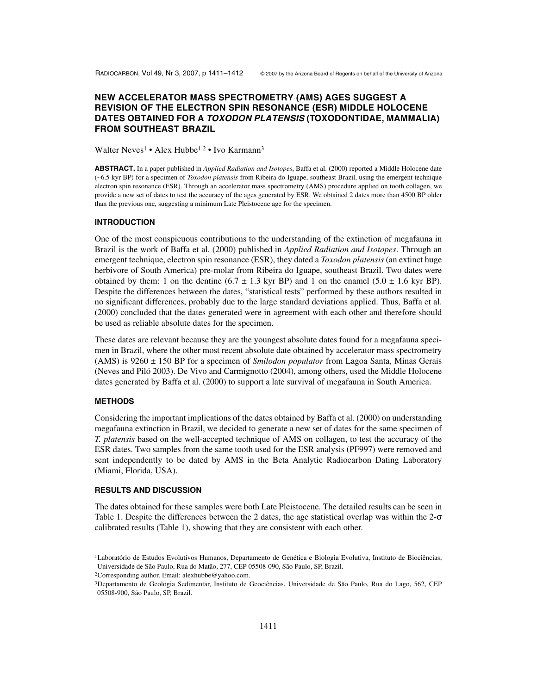# **NEW ACCELERATOR MASS SPECTROMETRY (AMS) AGES SUGGEST A REVISION OF THE ELECTRON SPIN RESONANCE (ESR) MIDDLE HOLOCENE DATES OBTAINED FOR A TOXODON PLATENSIS (TOXODONTIDAE, MAMMALIA) FROM SOUTHEAST BRAZIL**

Walter Neves<sup>1</sup> • Alex Hubbe<sup>1,2</sup> • Ivo Karmann<sup>3</sup>

**ABSTRACT.** In a paper published in *Applied Radiation and Isotopes*, Baffa et al. (2000) reported a Middle Holocene date (~6.5 kyr BP) for a specimen of *Toxodon platensis* from Ribeira do Iguape, southeast Brazil, using the emergent technique electron spin resonance (ESR). Through an accelerator mass spectrometry (AMS) procedure applied on tooth collagen, we provide a new set of dates to test the accuracy of the ages generated by ESR. We obtained 2 dates more than 4500 BP older than the previous one, suggesting a minimum Late Pleistocene age for the specimen.

#### **INTRODUCTION**

One of the most conspicuous contributions to the understanding of the extinction of megafauna in Brazil is the work of Baffa et al. (2000) published in *Applied Radiation and Isotopes*. Through an emergent technique, electron spin resonance (ESR), they dated a *Toxodon platensis* (an extinct huge herbivore of South America) pre-molar from Ribeira do Iguape, southeast Brazil. Two dates were obtained by them: 1 on the dentine  $(6.7 \pm 1.3 \text{ kyr BP})$  and 1 on the enamel  $(5.0 \pm 1.6 \text{ kyr BP})$ . Despite the differences between the dates, "statistical tests" performed by these authors resulted in no significant differences, probably due to the large standard deviations applied. Thus, Baffa et al. (2000) concluded that the dates generated were in agreement with each other and therefore should be used as reliable absolute dates for the specimen.

These dates are relevant because they are the youngest absolute dates found for a megafauna specimen in Brazil, where the other most recent absolute date obtained by accelerator mass spectrometry (AMS) is 9260 ± 150 BP for a specimen of *Smilodon populator* from Lagoa Santa, Minas Gerais (Neves and Piló 2003). De Vivo and Carmignotto (2004), among others, used the Middle Holocene dates generated by Baffa et al. (2000) to support a late survival of megafauna in South America.

### **METHODS**

Considering the important implications of the dates obtained by Baffa et al. (2000) on understanding megafauna extinction in Brazil, we decided to generate a new set of dates for the same specimen of *T. platensis* based on the well-accepted technique of AMS on collagen, to test the accuracy of the ESR dates. Two samples from the same tooth used for the ESR analysis (PF997) were removed and sent independently to be dated by AMS in the Beta Analytic Radiocarbon Dating Laboratory (Miami, Florida, USA).

### **RESULTS AND DISCUSSION**

The dates obtained for these samples were both Late Pleistocene. The detailed results can be seen in Table 1. Despite the differences between the 2 dates, the age statistical overlap was within the 2-σ calibrated results (Table 1), showing that they are consistent with each other.

<sup>&</sup>lt;sup>1</sup>Laboratório de Estudos Evolutivos Humanos, Departamento de Genética e Biologia Evolutiva, Instituto de Biociências, Universidade de São Paulo, Rua do Matão, 277, CEP 05508-090, São Paulo, SP, Brazil.

<sup>2</sup>Corresponding author. Email: alexhubbe@yahoo.com.

<sup>3</sup>Departamento de Geologia Sedimentar, Instituto de Geociências, Universidade de São Paulo, Rua do Lago, 562, CEP 05508-900, São Paulo, SP, Brazil.